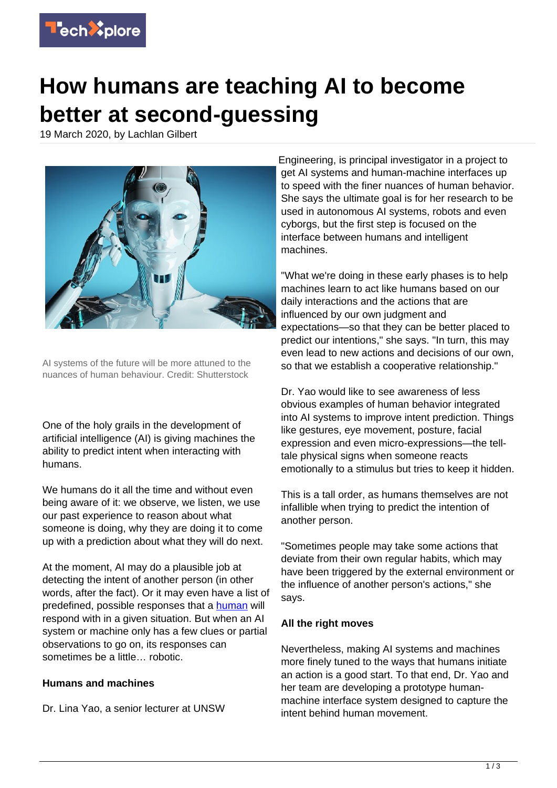

## **How humans are teaching AI to become better at second-guessing**

19 March 2020, by Lachlan Gilbert



AI systems of the future will be more attuned to the nuances of human behaviour. Credit: Shutterstock

One of the holy grails in the development of artificial intelligence (AI) is giving machines the ability to predict intent when interacting with humans.

We humans do it all the time and without even being aware of it: we observe, we listen, we use our past experience to reason about what someone is doing, why they are doing it to come up with a prediction about what they will do next.

At the moment, AI may do a plausible job at detecting the intent of another person (in other words, after the fact). Or it may even have a list of predefined, possible responses that a [human](https://techxplore.com/tags/human/) will respond with in a given situation. But when an AI system or machine only has a few clues or partial observations to go on, its responses can sometimes be a little… robotic.

## **Humans and machines**

Dr. Lina Yao, a senior lecturer at UNSW

Engineering, is principal investigator in a project to get AI systems and human-machine interfaces up to speed with the finer nuances of human behavior. She says the ultimate goal is for her research to be used in autonomous AI systems, robots and even cyborgs, but the first step is focused on the interface between humans and intelligent machines.

"What we're doing in these early phases is to help machines learn to act like humans based on our daily interactions and the actions that are influenced by our own judgment and expectations—so that they can be better placed to predict our intentions," she says. "In turn, this may even lead to new actions and decisions of our own, so that we establish a cooperative relationship."

Dr. Yao would like to see awareness of less obvious examples of human behavior integrated into AI systems to improve intent prediction. Things like gestures, eye movement, posture, facial expression and even micro-expressions—the telltale physical signs when someone reacts emotionally to a stimulus but tries to keep it hidden.

This is a tall order, as humans themselves are not infallible when trying to predict the intention of another person.

"Sometimes people may take some actions that deviate from their own regular habits, which may have been triggered by the external environment or the influence of another person's actions," she says.

## **All the right moves**

Nevertheless, making AI systems and machines more finely tuned to the ways that humans initiate an action is a good start. To that end, Dr. Yao and her team are developing a prototype humanmachine interface system designed to capture the intent behind human movement.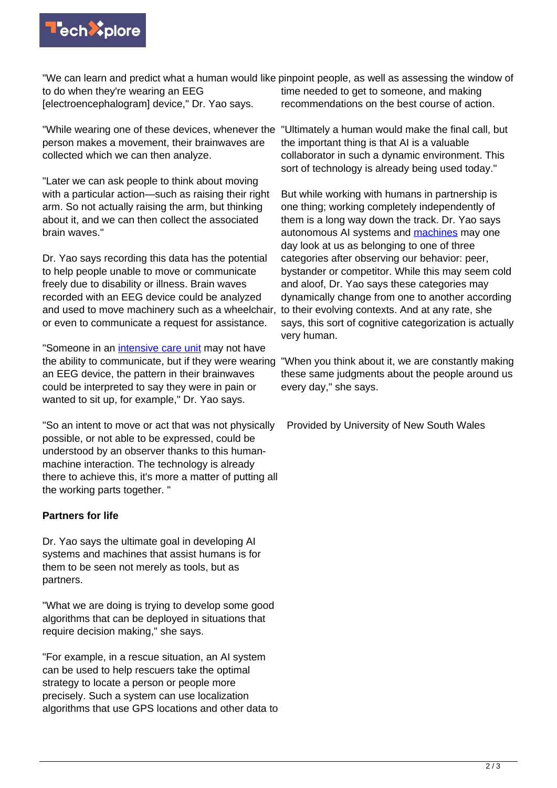

"We can learn and predict what a human would like pinpoint people, as well as assessing the window of to do when they're wearing an EEG [electroencephalogram] device," Dr. Yao says. time needed to get to someone, and making recommendations on the best course of action.

"While wearing one of these devices, whenever the person makes a movement, their brainwaves are collected which we can then analyze.

"Later we can ask people to think about moving with a particular action—such as raising their right arm. So not actually raising the arm, but thinking about it, and we can then collect the associated brain waves."

Dr. Yao says recording this data has the potential to help people unable to move or communicate freely due to disability or illness. Brain waves recorded with an EEG device could be analyzed and used to move machinery such as a wheelchair, or even to communicate a request for assistance.

"Someone in an *intensive care unit* may not have the ability to communicate, but if they were wearing an EEG device, the pattern in their brainwaves could be interpreted to say they were in pain or wanted to sit up, for example," Dr. Yao says.

"So an intent to move or act that was not physically possible, or not able to be expressed, could be understood by an observer thanks to this humanmachine interaction. The technology is already there to achieve this, it's more a matter of putting all the working parts together. "

## **Partners for life**

Dr. Yao says the ultimate goal in developing AI systems and machines that assist humans is for them to be seen not merely as tools, but as partners.

"What we are doing is trying to develop some good algorithms that can be deployed in situations that require decision making," she says.

"For example, in a rescue situation, an AI system can be used to help rescuers take the optimal strategy to locate a person or people more precisely. Such a system can use localization algorithms that use GPS locations and other data to

"Ultimately a human would make the final call, but

the important thing is that AI is a valuable collaborator in such a dynamic environment. This sort of technology is already being used today."

But while working with humans in partnership is one thing; working completely independently of them is a long way down the track. Dr. Yao says autonomous AI systems and [machines](https://techxplore.com/tags/machines/) may one day look at us as belonging to one of three categories after observing our behavior: peer, bystander or competitor. While this may seem cold and aloof, Dr. Yao says these categories may dynamically change from one to another according to their evolving contexts. And at any rate, she says, this sort of cognitive categorization is actually very human.

"When you think about it, we are constantly making these same judgments about the people around us every day," she says.

Provided by University of New South Wales